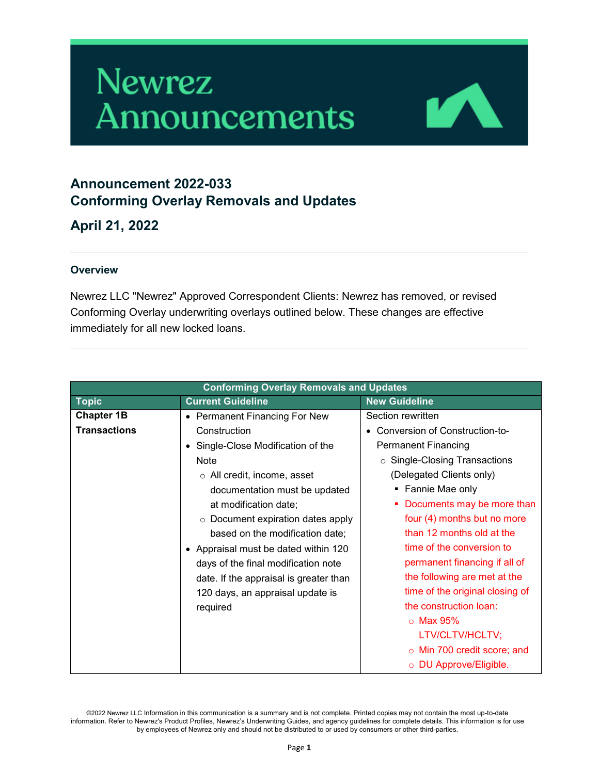# **Newrez** Announcements



# **Announcement 2022-033 Conforming Overlay Removals and Updates**

**April 21, 2022**

#### **Overview**

Newrez LLC "Newrez" Approved Correspondent Clients: Newrez has removed, or revised Conforming Overlay underwriting overlays outlined below. These changes are effective immediately for all new locked loans.

| <b>Conforming Overlay Removals and Updates</b> |                                         |                                   |
|------------------------------------------------|-----------------------------------------|-----------------------------------|
| <b>Topic</b>                                   | <b>Current Guideline</b>                | <b>New Guideline</b>              |
| <b>Chapter 1B</b>                              | • Permanent Financing For New           | Section rewritten                 |
| <b>Transactions</b>                            | Construction                            | Conversion of Construction-to-    |
|                                                | Single-Close Modification of the        | <b>Permanent Financing</b>        |
|                                                | <b>Note</b>                             | ○ Single-Closing Transactions     |
|                                                | $\circ$ All credit, income, asset       | (Delegated Clients only)          |
|                                                | documentation must be updated           | • Fannie Mae only                 |
|                                                | at modification date;                   | Documents may be more than        |
|                                                | $\circ$ Document expiration dates apply | four (4) months but no more       |
|                                                | based on the modification date;         | than 12 months old at the         |
|                                                | Appraisal must be dated within 120      | time of the conversion to         |
|                                                | days of the final modification note     | permanent financing if all of     |
|                                                | date. If the appraisal is greater than  | the following are met at the      |
|                                                | 120 days, an appraisal update is        | time of the original closing of   |
|                                                | required                                | the construction loan:            |
|                                                |                                         | $\circ$ Max 95%                   |
|                                                |                                         | LTV/CLTV/HCLTV;                   |
|                                                |                                         | $\circ$ Min 700 credit score; and |
|                                                |                                         | o DU Approve/Eligible.            |

©2022 Newrez LLC Information in this communication is a summary and is not complete. Printed copies may not contain the most up-to-date information. Refer to Newrez's Product Profiles, Newrez's Underwriting Guides, and agency guidelines for complete details. This information is for use by employees of Newrez only and should not be distributed to or used by consumers or other third-parties.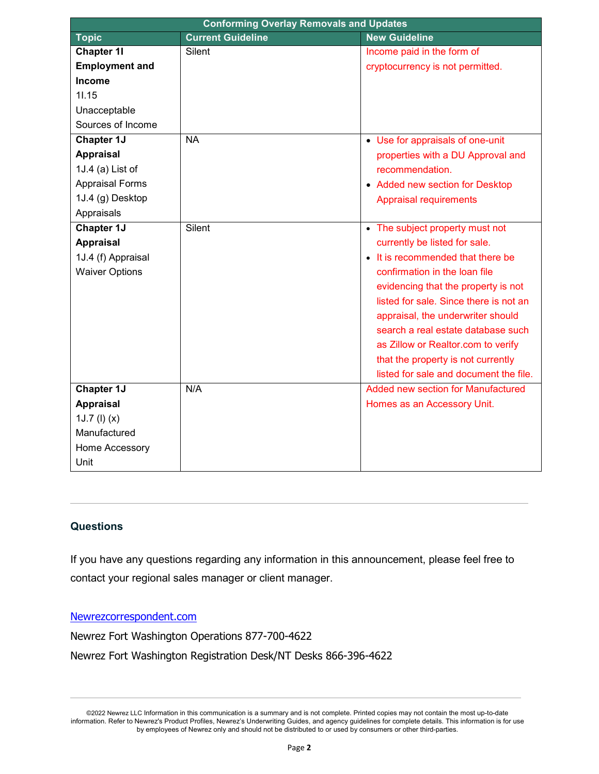| <b>Conforming Overlay Removals and Updates</b> |                          |                                        |
|------------------------------------------------|--------------------------|----------------------------------------|
| <b>Topic</b>                                   | <b>Current Guideline</b> | <b>New Guideline</b>                   |
| <b>Chapter 11</b>                              | Silent                   | Income paid in the form of             |
| <b>Employment and</b>                          |                          | cryptocurrency is not permitted.       |
| <b>Income</b>                                  |                          |                                        |
| 11.15                                          |                          |                                        |
| Unacceptable                                   |                          |                                        |
| Sources of Income                              |                          |                                        |
| <b>Chapter 1J</b>                              | <b>NA</b>                | • Use for appraisals of one-unit       |
| <b>Appraisal</b>                               |                          | properties with a DU Approval and      |
| 1J.4 (a) List of                               |                          | recommendation.                        |
| <b>Appraisal Forms</b>                         |                          | • Added new section for Desktop        |
| 1J.4 (g) Desktop                               |                          | <b>Appraisal requirements</b>          |
| Appraisals                                     |                          |                                        |
| <b>Chapter 1J</b>                              | Silent                   | • The subject property must not        |
| <b>Appraisal</b>                               |                          | currently be listed for sale.          |
| 1J.4 (f) Appraisal                             |                          | • It is recommended that there be      |
| <b>Waiver Options</b>                          |                          | confirmation in the loan file          |
|                                                |                          | evidencing that the property is not    |
|                                                |                          | listed for sale. Since there is not an |
|                                                |                          | appraisal, the underwriter should      |
|                                                |                          | search a real estate database such     |
|                                                |                          | as Zillow or Realtor.com to verify     |
|                                                |                          | that the property is not currently     |
|                                                |                          | listed for sale and document the file. |
| <b>Chapter 1J</b>                              | N/A                      | Added new section for Manufactured     |
| <b>Appraisal</b>                               |                          | Homes as an Accessory Unit.            |
| $1J.7$ (I) $(x)$                               |                          |                                        |
| Manufactured                                   |                          |                                        |
| Home Accessory                                 |                          |                                        |
| Unit                                           |                          |                                        |

### **Questions**

If you have any questions regarding any information in this announcement, please feel free to contact your regional sales manager or client manager.

## [Newrezcorrespondent.com](https://www.newrezcorrespondent.com/)

Newrez Fort Washington Operations 877-700-4622 Newrez Fort Washington Registration Desk/NT Desks 866-396-4622